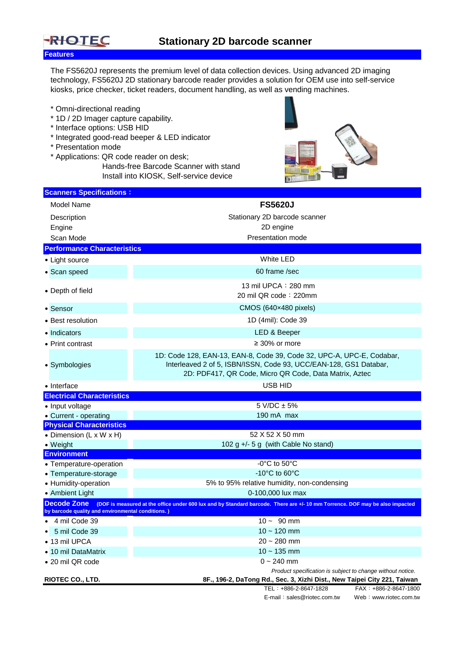

The FS5620J represents the premium level of data collection devices. Using advanced 2D imaging technology, FS5620J 2D stationary barcode reader provides a solution for OEM use into self-service kiosks, price checker, ticket readers, document handling, as well as vending machines.

- \* Omni-directional reading
- \* 1D / 2D Imager capture capability.
- \* Interface options: USB HID
- \* Integrated good-read beeper & LED indicator
- \* Presentation mode
- \* Applications: QR code reader on desk; Hands-free Barcode Scanner with stand Install into KIOSK, Self-service device



| <b>Scanners Specifications:</b>                                         |                                                                                                                                                                                                      |
|-------------------------------------------------------------------------|------------------------------------------------------------------------------------------------------------------------------------------------------------------------------------------------------|
| Model Name                                                              | <b>FS5620J</b>                                                                                                                                                                                       |
| Description                                                             | Stationary 2D barcode scanner                                                                                                                                                                        |
| Engine                                                                  | 2D engine                                                                                                                                                                                            |
| Scan Mode                                                               | Presentation mode                                                                                                                                                                                    |
| <b>Performance Characteristics</b>                                      |                                                                                                                                                                                                      |
| • Light source                                                          | <b>White LED</b>                                                                                                                                                                                     |
| • Scan speed                                                            | 60 frame /sec                                                                                                                                                                                        |
| • Depth of field                                                        | 13 mil UPCA : 280 mm<br>20 mil QR code: 220mm                                                                                                                                                        |
| • Sensor                                                                | $CMOS (640 \times 480)$ pixels)                                                                                                                                                                      |
| • Best resolution                                                       | 1D (4mil): Code 39                                                                                                                                                                                   |
| • Indicators                                                            | LED & Beeper                                                                                                                                                                                         |
| • Print contrast                                                        | $\geq 30\%$ or more                                                                                                                                                                                  |
| • Symbologies                                                           | 1D: Code 128, EAN-13, EAN-8, Code 39, Code 32, UPC-A, UPC-E, Codabar,<br>Interleaved 2 of 5, ISBN/ISSN, Code 93, UCC/EAN-128, GS1 Databar,<br>2D: PDF417, QR Code, Micro QR Code, Data Matrix, Aztec |
| • Interface                                                             | USB HID                                                                                                                                                                                              |
| <b>Electrical Characteristics</b>                                       |                                                                                                                                                                                                      |
| • Input voltage                                                         | $5$ V/DC $\pm$ 5%                                                                                                                                                                                    |
| • Current - operating                                                   | 190 mA max                                                                                                                                                                                           |
| <b>Physical Characteristics</b>                                         |                                                                                                                                                                                                      |
| • Dimension (L x W x H)                                                 | 52 X 52 X 50 mm                                                                                                                                                                                      |
| • Weight                                                                | 102 g +/- 5 g (with Cable No stand)                                                                                                                                                                  |
| <b>Environment</b>                                                      | $-0^{\circ}$ C to 50 $^{\circ}$ C                                                                                                                                                                    |
| • Temperature-operation                                                 | -10 $^{\circ}$ C to 60 $^{\circ}$ C                                                                                                                                                                  |
| • Temperature-storage<br>• Humidity-operation                           | 5% to 95% relative humidity, non-condensing                                                                                                                                                          |
| • Ambient Light                                                         | 0-100,000 lux max                                                                                                                                                                                    |
| <b>Decode Zone</b><br>by barcode quality and environmental conditions.) | (DOF is measured at the office under 600 lux and by Standard barcode. There are +/-10 mm Torrence. DOF may be also impacted                                                                          |
| 4 mil Code 39                                                           | $10 - 90$ mm                                                                                                                                                                                         |
| 5 mil Code 39                                                           | $10 - 120$ mm                                                                                                                                                                                        |
| 13 mil UPCA                                                             | $20 - 280$ mm                                                                                                                                                                                        |
| • 10 mil DataMatrix                                                     | $10 - 135$ mm                                                                                                                                                                                        |
| • 20 mil QR code                                                        | $0 - 240$ mm                                                                                                                                                                                         |
|                                                                         | Product specification is subject to change without notice.                                                                                                                                           |
| RIOTEC CO., LTD.                                                        | 8F., 196-2, DaTong Rd., Sec. 3, Xizhi Dist., New Taipei City 221, Taiwan                                                                                                                             |
|                                                                         | FAX: +886-2-8647-1800<br>TEL: +886-2-8647-1828                                                                                                                                                       |
|                                                                         | E-mail: sales@riotec.com.tw<br>Web: www.riotec.com.tw                                                                                                                                                |